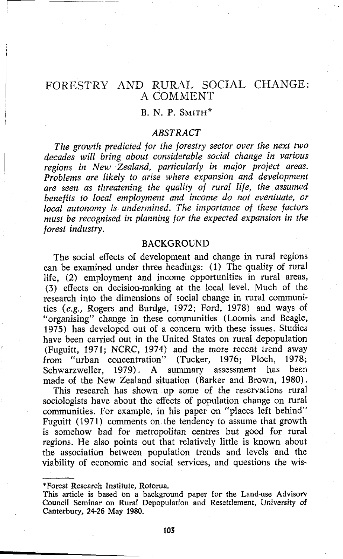# FORESTRY AND RURAL SOCIAL CHANGE: A COMMENT

# B. N. P. SMITH\*

### <sup>I</sup>*ABSTRACT*

I *The growth predicted for the forestry sector over the next two* I *decades will bring about considerable social change in various regions in New Zealand, particularly in major project areas. Problems are likely to arise where expansion and development*  are seen as threatening the quality of rural life, the assumed *benefits to local employment and income do not eventuate, or local autonomy is undermined. The importance of these factors*  must be recognised in planning for the expected expansion in the *forest industry.* 

#### **BACKGROUND**

The social effects of development and change in rural regions can be examined under three headings: (1) The quality of rural life, **(2)** employment and income opportunities in rural areas, *(3)* effects on decision-making at the local level. Much of the research into the dimensions of social change in rural communities *(e.g.,* Rogers and Burdge, 1972; Ford, 1978) and ways of "organising" change in these communities (Loomis and Beagle, 1975) has developed out of a concern with these issues. Studies have been carried out in the United States on rural depopulation (Fuguitt, 1971; NCRC, 1974) and the more recent trend away from "urban concentration" (Tucker, 1976; Ploch, 1978; (Tucker, 1976; Ploch, 1978; Schwarzweller, 1979) . A summary assessment has been made **of** the New Zealand situation (Barker and Brown, 1980).

This research has shown up some of the reservations rural sociologists have about the effects of population change on rural communities. For example, in his paper on "places left behind" Fuguitt (1971) comments on the tendency to assume that growth is somehow bad for metropolitan centres but good for rural regions. He also points out that relatively little is known about the association between population trends and levels and the viability of economic and social services, and questions the wis-

<sup>\*</sup>Forest Research Institute, Rotorua.

This article is based on a background paper for the Land-use Advisorv Council Seminar on Rural Depopulation and Resettlement, University of Canterbury, 2426 May 1980.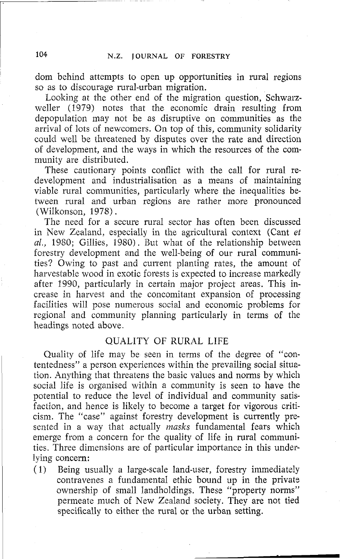dom behind attempts to open up opportunities in rural regions so as to discourage rural-urban migration.

Looking at the other end of the migration question, Schwarzweller (1979) notes that the economic drain resulting from depopulation may not be as disruptive on communities as the arrival of lots of newcomers. On top of this, community solidarity could well be threatened by disputes over the rate and direction of development, and the ways in which the resources of the community are distributed.

These cautionary points conflict with the call for rural redevelopment and industrialisation as a means of maintaining viable rural communities, particularly where the inequalities between rural and urban regions are rather more pronounced (Wilkonson, 1978).

The need for a secure rural sector has often been discussed in New Zealand, especially in the agricultural context (Cant et al., 1980; Gillies, 1980). But what of the relationship between forestry development and the well-being of our rural communities? Owing to past and current planting rates, the amount of harvestable wood in exotic forests is expected to increase markedly after 1990, particularly in certain major project areas. This increase in harvest and the concomitant expansion of processing facilities will pose numerous social and economic problems for regional and community planning particularly in terms of the headings noted above.

## QUALITY OF RURAL LIFE

Quality of life may be seen in terms of the degree of "contentedness" a person experiences within the prevailing social situation. Anything that threatens the basic values and norms by which social life is organised within a community is seen to have the potential to reduce the level of individual and community satisfaction, and hence is likely to become a target for vigorous criticism. The "case" against forestry development is currently presented in a way that actually masks fundamental fears which emerge from a concern for the quality of life in rural communities. Three dimensions are of particular importance in this under-Iying concern:

(1) Being usually a large-scale land-user, forestry immediately contravenes a fundamental ethic bound up in the private ownership of small landholdings. These "property norms" permeate much of New Zealand society. They are not tied specifically to either the rural or the urban setting.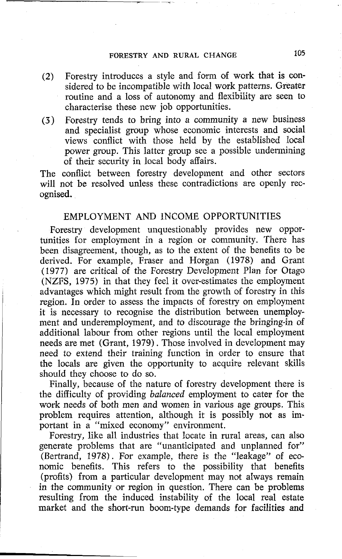# **FORESTRY AND RURAL CHANGE 105**

- **(2)** Forestry introduces a style and form of work that is considered to be incompatible with local work patterns. Greater routine and a loss of autonomy and flexibility are seen to characterise these new job opportunities.
- **(3)** Forestry tends to bring into a community a new business and specialist group whose economic interests and social views conflict with those held by the established local power group. This latter group see a possible undermining of their security in local body affairs.

The conflict between forestry development and other sectors will not be resolved unless these contradictions are openly recognised.

# EMPLOYMENT AND INCOME OPPORTUNITIES

Forestry development unquestionably provides new opportunities for employment in a region or community. There has been disagreement, though, as to the extent of the benefits to be derived. For example, Fraser and Horgan (1978) and Grant (1977) are critical of the Forestry Development Plan for Otago (NZFS, 1975) in that they feel it over-estimates the employment advantages which might result from the growth of forestry in this region. In order to assess the impacts of forestry on employment it is necessary to recognise the distribution between unemployment and underemployment, and to discourage the bringing-in of additional labour from other regions until the local employment needs are met (Grant, 1979). Those involved in development may need to extend their training function in order to ensure that the locals are given the opportunity to acquire relevant skills should they choose to do so.

Finally, because of the nature of forestry development there is the difficulty of providing balanced employment to cater for the work needs of both men and women in various age groups. This problem requires attention, although it is possibly not as important in a "mixed economy" environment.

Forestry, like all industries that locate in rural areas, can also generate problems that are "unanticipated and unplanned for" (Bertrand, 1978). For example, there is the "leakage" of economic benefits. This refers to the possibility that benefits (profits) from a particular development may not always remain in the community or region in question. There can be problems resulting from the induced instability of the local real estate market and the short-run boom-type demands for facilities and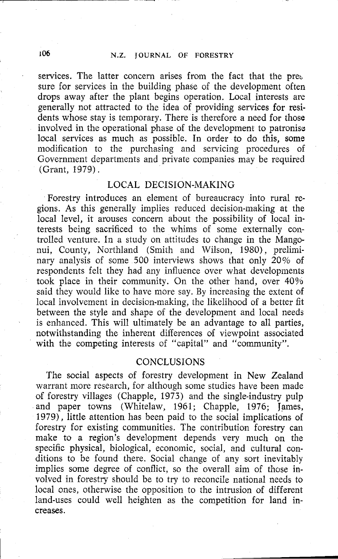# 106 N.Z. JOURNAL OF FORESTRY

services. The latter concern arises from the fact that the pre $\Sigma$ sure for services in the building phase of the development often drops away after the plant begins operation. Local interests are generally not attracted to the idea of providing services for residents whose stay is temporary. There is therefore a need for those involved in the operational phase of the development to patronise local services as much as possible. In order to do this, **soms**  modification to the purchasing and servicing procedures of Government departments and private companies may be required (Grant, 1979) .

## LOCAL DECISION-MAKING

Forestry introduces an element of bureaucracy into rural regions. As this generally implies reduced decision-making at the local level, it arouses concern about the possibility of local interests being sacrificed to the whims of some externally controlled venture. In a study on attitudes to change in the Mangonui, County, Northland (Smith and Wilson, 1980), preliminary analysis of some 500 interviews shows that only 20% of respondents felt they had any influence over what developments took place in their community. On the other hand, over 40% said they would like to have more say. By increasing the extent of local involvement in decision-making, the likelihood of a better fit between the style and shape of the development and local needs is enhanced. This will ultimately be an advantage to all parties, notwithstanding the inherent differences of viewpoint associated with the competing interests of "capital" and "community".

### **CONCLUSIONS**

The social aspects of forestry development in New Zealand warrant more research, for although some studies have been made of forestry villages (Chapple, 1973) and the single-industry pulp and paper towns (Whitelaw, 1961; Chapple, 1976; James, 1979), little attention has been paid to the social implications of forestry for existing communities. The contribution forestry can make to **a** region's development depends very much on the specific physical, biological, economic, social, and cultural conditions to be found there. Social change of any sort inevitably implies some degree of conflict, so the overall aim of those involved in forestry should be to try to reconcile national needs to local ones, otherwise the opposition to the intrusion of different land-uses could well heighten as the competition for land increases.